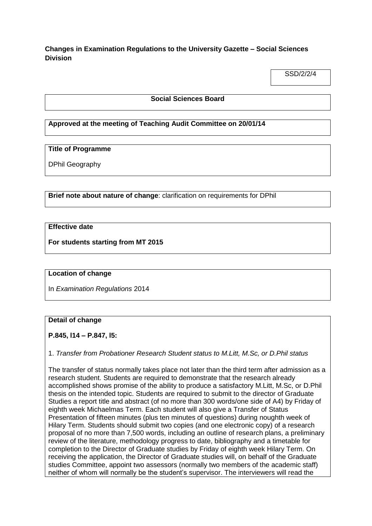**Changes in Examination Regulations to the University Gazette – Social Sciences Division**

SSD/2/2/4

## **Social Sciences Board**

## **Approved at the meeting of Teaching Audit Committee on 20/01/14**

#### **Title of Programme**

DPhil Geography

**Brief note about nature of change: clarification on requirements for DPhil** 

#### **Effective date**

**For students starting from MT 2015**

## **Location of change**

In *Examination Regulations* 2014

## **Detail of change**

**P.845, l14 – P.847, l5:**

1. *Transfer from Probationer Research Student status to M.Litt, M.Sc, or D.Phil status*

The transfer of status normally takes place not later than the third term after admission as a research student. Students are required to demonstrate that the research already accomplished shows promise of the ability to produce a satisfactory M.Litt, M.Sc, or D.Phil thesis on the intended topic. Students are required to submit to the director of Graduate Studies a report title and abstract (of no more than 300 words/one side of A4) by Friday of eighth week Michaelmas Term. Each student will also give a Transfer of Status Presentation of fifteen minutes (plus ten minutes of questions) during noughth week of Hilary Term. Students should submit two copies (and one electronic copy) of a research proposal of no more than 7,500 words, including an outline of research plans, a preliminary review of the literature, methodology progress to date, bibliography and a timetable for completion to the Director of Graduate studies by Friday of eighth week Hilary Term. On receiving the application, the Director of Graduate studies will, on behalf of the Graduate studies Committee, appoint two assessors (normally two members of the academic staff) neither of whom will normally be the student's supervisor. The interviewers will read the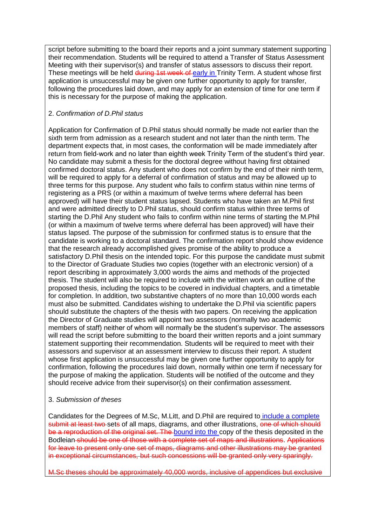script before submitting to the board their reports and a joint summary statement supporting their recommendation. Students will be required to attend a Transfer of Status Assessment Meeting with their supervisor(s) and transfer of status assessors to discuss their report. These meetings will be held during 1st week of early in Trinity Term. A student whose first application is unsuccessful may be given one further opportunity to apply for transfer, following the procedures laid down, and may apply for an extension of time for one term if this is necessary for the purpose of making the application.

# 2. *Confirmation of D.Phil status*

Application for Confirmation of D.Phil status should normally be made not earlier than the sixth term from admission as a research student and not later than the ninth term. The department expects that, in most cases, the conformation will be made immediately after return from field-work and no later than eighth week Trinity Term of the student's third year. No candidate may submit a thesis for the doctoral degree without having first obtained confirmed doctoral status. Any student who does not confirm by the end of their ninth term, will be required to apply for a deferral of confirmation of status and may be allowed up to three terms for this purpose. Any student who fails to confirm status within nine terms of registering as a PRS (or within a maximum of twelve terms where deferral has been approved) will have their student status lapsed. Students who have taken an M.Phil first and were admitted directly to D.Phil status, should confirm status within three terms of starting the D.Phil Any student who fails to confirm within nine terms of starting the M.Phil (or within a maximum of twelve terms where deferral has been approved) will have their status lapsed. The purpose of the submission for confirmed status is to ensure that the candidate is working to a doctoral standard. The confirmation report should show evidence that the research already accomplished gives promise of the ability to produce a satisfactory D.Phil thesis on the intended topic. For this purpose the candidate must submit to the Director of Graduate Studies two copies (together with an electronic version) of a report describing in approximately 3,000 words the aims and methods of the projected thesis. The student will also be required to include with the written work an outline of the proposed thesis, including the topics to be covered in individual chapters, and a timetable for completion. In addition, two substantive chapters of no more than 10,000 words each must also be submitted. Candidates wishing to undertake the D.Phil via scientific papers should substitute the chapters of the thesis with two papers. On receiving the application the Director of Graduate studies will appoint two assessors (normally two academic members of staff) neither of whom will normally be the student's supervisor. The assessors will read the script before submitting to the board their written reports and a joint summary statement supporting their recommendation. Students will be required to meet with their assessors and supervisor at an assessment interview to discuss their report. A student whose first application is unsuccessful may be given one further opportunity to apply for confirmation, following the procedures laid down, normally within one term if necessary for the purpose of making the application. Students will be notified of the outcome and they should receive advice from their supervisor(s) on their confirmation assessment.

## 3. *Submission of theses*

Candidates for the Degrees of M.Sc, M.Litt, and D.Phil are required to include a complete submit at least two sets of all maps, diagrams, and other illustrations, one of which should be a reproduction of the original set. The bound into the copy of the thesis deposited in the Bodleian should be one of those with a complete set of maps and illustrations. Applications for leave to present only one set of maps, diagrams and other illustrations may be granted in exceptional circumstances, but such concessions will be granted only very sparingly.

M.Sc theses should be approximately 40,000 words, inclusive of appendices but exclusive